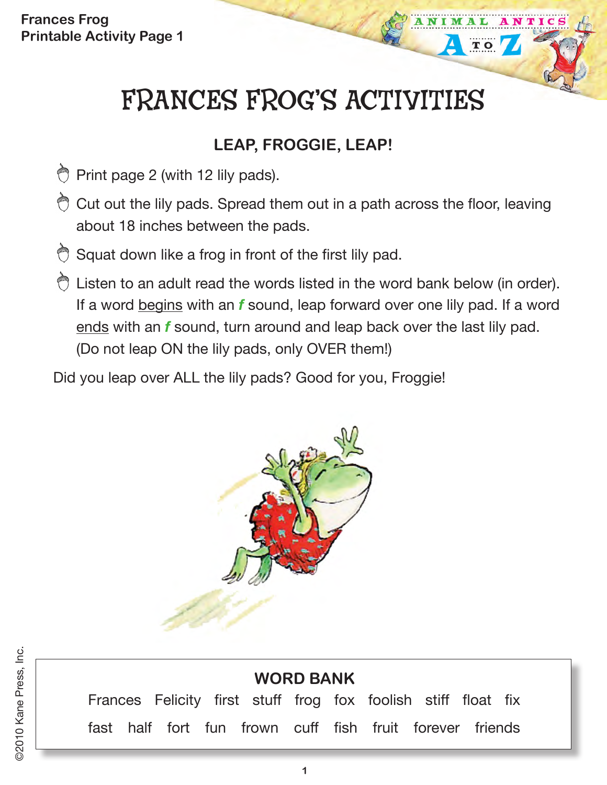**Frances Frog Printable Activity Page 1**

# FRANCES FROG'S ACTIVITIES

TO

## **LEAP, FROGGIE, LEAP!**

- $\bigcirc$  Print page 2 (with 12 lily pads).
- $\bigcirc$  Cut out the lily pads. Spread them out in a path across the floor, leaving about 18 inches between the pads.
- **B** Squat down like a frog in front of the first lily pad.
- C Listen to an adult read the words listed in the word bank below (in order). If a word begins with an *f* sound, leap forward over one lily pad. If a word ends with an *f* sound, turn around and leap back over the last lily pad. (Do not leap ON the lily pads, only OVER them!)

Did you leap over ALL the lily pads? Good for you, Froggie!



# **WORD BANK**

Frances Felicity first stuff frog fox foolish stiff float fix fast half fort fun frown cuff fish fruit forever friends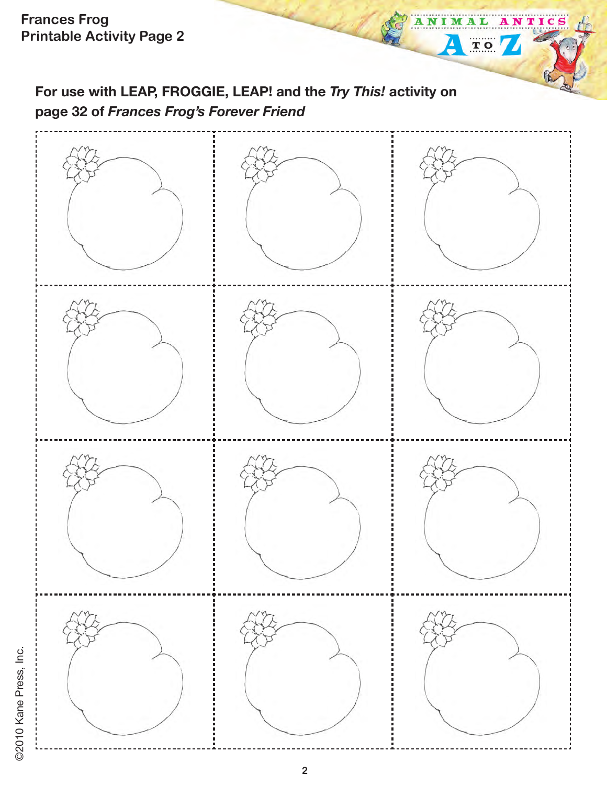**For use with LEAP, FROGGIE, LEAP! and the** *Try This!* **activity on page 32 of** *Frances Frog's Forever Friend* 

NTICS

NIM

 $\blacktriangle$ 

A L

TO

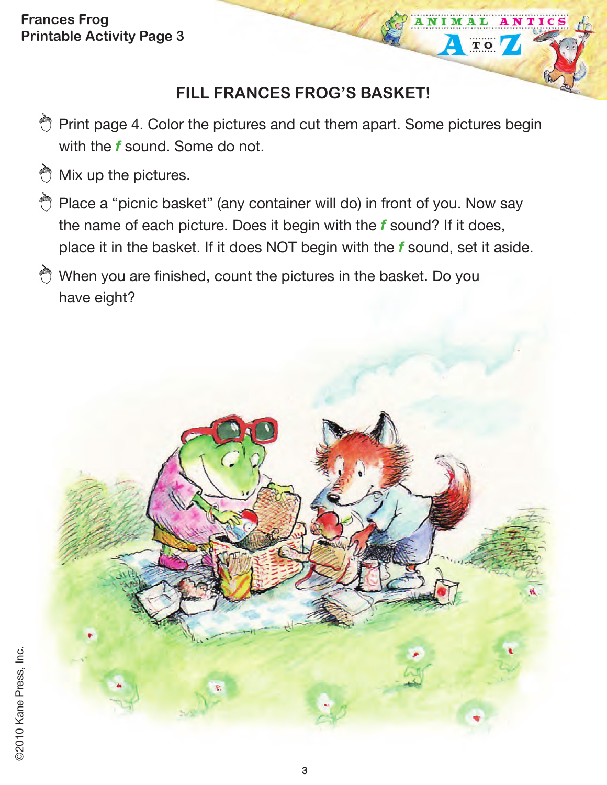#### **Frances Frog Printable Activity Page 3**

## **FILL FRANCES FROG'S BASKET!**

TIC

 $T$  O

- Print page 4. Color the pictures and cut them apart. Some pictures begin with the *f* sound. Some do not.
- ⇔ Mix up the pictures.
- Place a "picnic basket" (any container will do) in front of you. Now say the name of each picture. Does it begin with the *f* sound? If it does, place it in the basket. If it does NOT begin with the *f* sound, set it aside.
- When you are finished, count the pictures in the basket. Do you have eight?

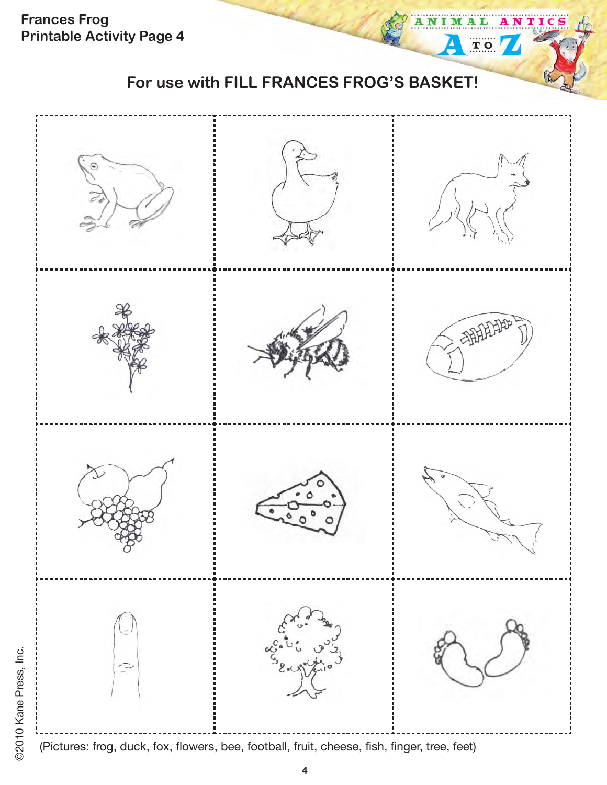**Frances Frog Printable Activity Page 4**

ті

 $T<sub>O</sub>$ 



(Pictures: frog, duck, fox, flowers, bee, football, fruit, cheese, fish, finger, tree, feet)